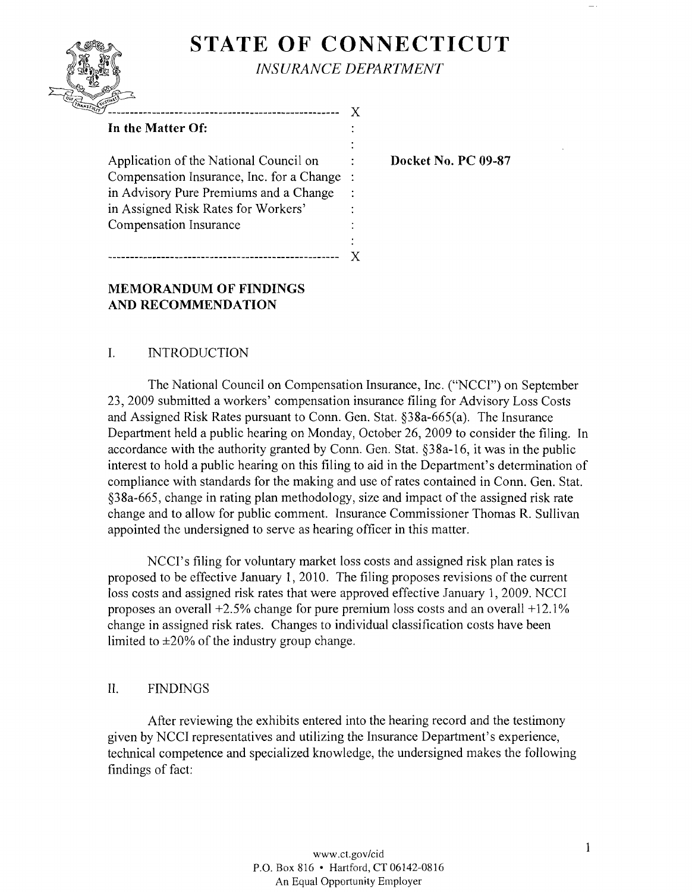# **STATE OF CONNECTICUT**

 $\bullet$ 

÷



*INSURANCE DEPARTMENT* 

x

Application of the National Council on **Docket No. PC 09-87** Compensation Insurance, Inc. for a Change in Advisory Pure Premiums and a Change in Assigned Risk Rates for Workers' Compensation Insurance

---------------------------------------------------- X

# **MEMORANDUM OF FINDINGS AND RECOMMENDATION**

## 1. INTRODUCTION

The National Council on Compensation Insurance, Inc. ("NCCI") on September 23,2009 submitted a workers' compensation insurance filing for Advisory Loss Costs and Assigned Risk Rates pursuant to Conn. Gen. Stat. §38a-665(a). The Insurance Department held a public hearing on Monday, October 26, 2009 to consider the filing. In accordance with the authority granted by Conn. Gen. Stat. §38a-16, it was in the public interest to hold a public hearing on this filing to aid in the Department's determination of compliance with standards for the making and use of rates contained in Conn. Gen. Stat. §38a-665, change in rating plan methodology, size and impact of the assigned risk rate change and to allow for public comment. Insurance Commissioner Thomas R. Sullivan appointed the undersigned to serve as hearing officer in this matter.

NCCI's filing for voluntary market loss costs and assigned risk plan rates is proposed to be effective January 1, 2010. The filing proposes revisions of the current loss costs and assigned risk rates that were approved effective January 1, 2009. NCCI proposes an overall  $+2.5\%$  change for pure premium loss costs and an overall  $+12.1\%$ change in assigned risk rates. Changes to individual classification costs have been limited to ±20% of the industry group change.

## II. FINDINGS

After reviewing the exhibits entered into the hearing record and the testimony given by NCCI representatives and utilizing the Insurance Department's experience, technical competence and specialized knowledge, the undersigned makes the following findings of fact: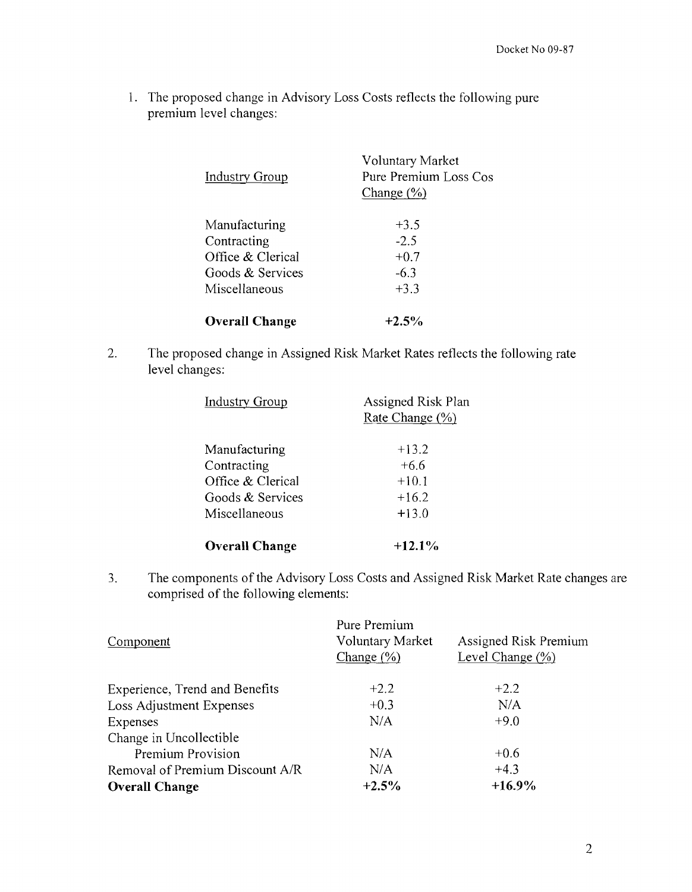1. The proposed change in Advisory Loss Costs reflects the following pure premium level changes:

| <b>Industry Group</b> | Voluntary Market<br>Pure Premium Loss Cos<br>Change $(\frac{9}{6})$ |  |
|-----------------------|---------------------------------------------------------------------|--|
| Manufacturing         | $+3.5$                                                              |  |
| Contracting           | $-2.5$                                                              |  |
| Office & Clerical     | $+0.7$                                                              |  |
| Goods & Services      | $-6.3$                                                              |  |
| Miscellaneous         | $+3.3$                                                              |  |
| <b>Overall Change</b> | $+2.5\%$                                                            |  |

2. The proposed change in Assigned Risk Market Rates reflects the following rate level changes:

| <b>Industry Group</b> | Assigned Risk Plan<br>Rate Change (%) |
|-----------------------|---------------------------------------|
| Manufacturing         | $+13.2$                               |
| Contracting           | $+6.6$                                |
| Office & Clerical     | $+10.1$                               |
| Goods & Services      | $+16.2$                               |
| Miscellaneous         | $+13.0$                               |
| <b>Overall Change</b> | $+12.1\%$                             |

3. The components of the Advisory Loss Costs and Assigned Risk Market Rate changes are comprised of the following elements:

| Component                       | Pure Premium<br><b>Voluntary Market</b><br>Change $(\% )$ | Assigned Risk Premium<br>Level Change $(\% )$ |  |
|---------------------------------|-----------------------------------------------------------|-----------------------------------------------|--|
| Experience, Trend and Benefits  | $+2.2$                                                    | $+2.2$                                        |  |
| Loss Adjustment Expenses        | $+0.3$                                                    | N/A                                           |  |
| Expenses                        | N/A                                                       | $+9.0$                                        |  |
| Change in Uncollectible         |                                                           |                                               |  |
| Premium Provision               | N/A                                                       | $+0.6$                                        |  |
| Removal of Premium Discount A/R | N/A                                                       | $+4.3$                                        |  |
| <b>Overall Change</b>           | $+2.5%$                                                   | $+16.9\%$                                     |  |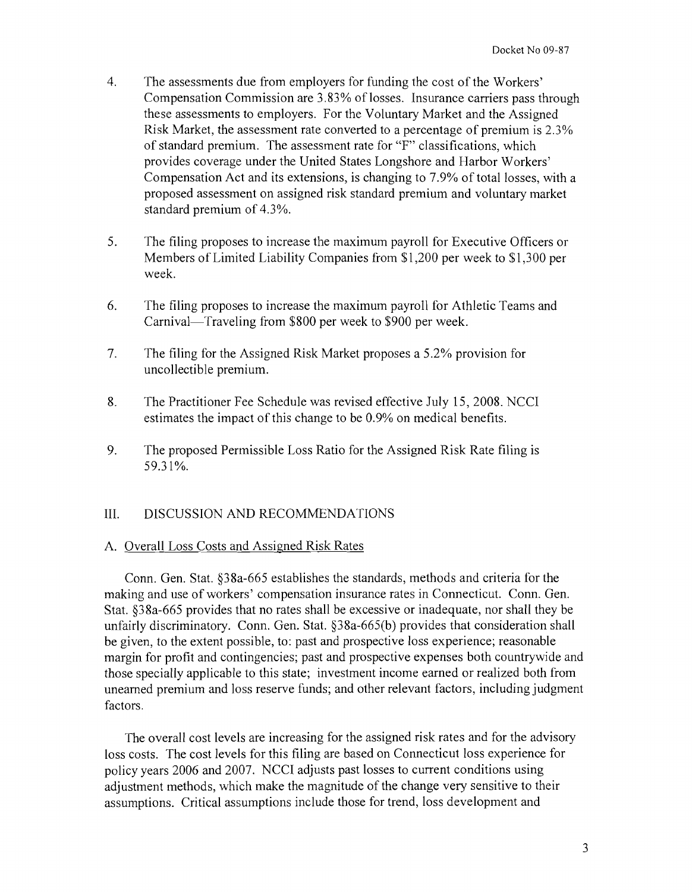- 4. The assessments due from employers for funding the cost of the Workers' Compensation Commission are 3.83% of losses. Insurance carriers pass through these assessments to employers. For the Voluntary Market and the Assigned Risk Market, the assessment rate converted to a percentage of premium is 2.3% of standard premium. The assessment rate for "F" classifications, which provides coverage under the United States Longshore and Harbor Workers' Compensation Act and its extensions, is changing to 7.9% of total losses, with a proposed assessment on assigned risk standard premium and voluntary market standard premium of 4.3%.
- 5. The filing proposes to increase the maximum payroll for Executive Officers or Members of Limited Liability Companies from \$1,200 per week to \$1,300 per week.
- 6. The filing proposes to increase the maximum payroll for Athletic Teams and Carnival—Traveling from \$800 per week to \$900 per week.
- 7. The filing for the Assigned Risk Market proposes a 5.2% provision for uncollectible premium.
- 8. The Practitioner Fee Schedule was revised effective July 15,2008. NCCI estimates the impact of this change to be 0.9% on medical benefits.
- 9. The proposed Permissible Loss Ratio for the Assigned Risk Rate filing is 59.31%.

## III. DISCUSSION AND RECOMMENDATIONS

#### A. Overall Loss Costs and Assigned Risk Rates

Conn. Gen. Stat. §38a-665 establishes the standards, methods and criteria for the making and use of workers' compensation insurance rates in Connecticut. Conn. Gen. Stat. §38a-665 provides that no rates shall be excessive or inadequate, nor shall they be unfairly discriminatory. Conn. Gen. Stat. §38a-665(b) provides that consideration shall be given, to the extent possible, to: past and prospective loss experience; reasonable margin for profit and contingencies; past and prospective expenses both countrywide and those specially applicable to this state; investment income earned or realized both from unearned premium and loss reserve funds; and other relevant factors, including judgment factors.

The overall cost levels are increasing for the assigned risk rates and for the advisory loss costs. The cost levels for this filing are based on Connecticut loss experience for policy years 2006 and 2007. NCCI adjusts past losses to current conditions using adjustment methods, which make the magnitude of the change very sensitive to their assumptions. Critical assumptions include those for trend, loss development and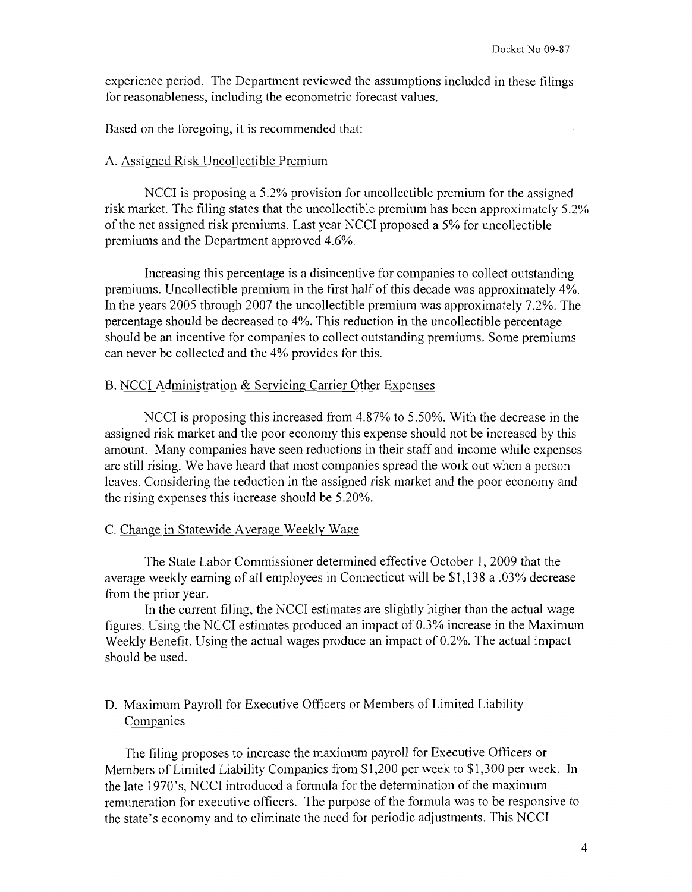experience period. The Department reviewed the assumptions included in these filings for reasonableness, including the econometric forecast values.

Based on the foregoing, it is recommended that:

#### A. Assigned Risk Uncollectible Premium

NCCI is proposing a 5.2% provision for uncollectible premium for the assigned risk market. The filing states that the uncollectible premium has been approximately 5.2% ofthe net assigned risk premiums. Last year NCCI proposed a 5% for uncollectible premiums and the Department approved 4.6%.

Increasing this percentage is a disincentive for companies to collect outstanding premiums. Uncollectible premium in the first half of this decade was approximately 4%. In the years 2005 through 2007 the uncollectible premium was approximately 7.2%. The percentage should be decreased to 4%. This reduction in the uncollectible percentage should be an incentive for companies to collect outstanding premiums. Some premiums can never be collected and the 4% provides for this.

#### B. NCCI Administration & Servicing Carrier Other Expenses

NCCI is proposing this increased from 4.87% to 5.50%. With the decrease in the assigned risk market and the poor economy this expense should not be increased by this amount. Many companies have seen reductions in their staff and income while expenses are still rising. We have heard that most companies spread the work out when a person leaves. Considering the reduction in the assigned risk market and the poor economy and the rising expenses this increase should be 5.20%.

#### C. Change in Statewide Average Weekly Wage

The State Labor Commissioner determined effective October 1,2009 that the average weekly earning of all employees in Connecticut will be \$1,138 a .03% decrease from the prior year.

In the current filing, the NCCI estimates are slightly higher than the actual wage figures. Using the NCCI estimates produced an impact of 0.3% increase in the Maximum Weekly Benefit. Using the actual wages produce an impact of 0.2%. The actual impact should be used.

## D. Maximum Payroll for Executive Officers or Members of Limited Liability Companies

The filing proposes to increase the maximum payroll for Executive Officers or Members of Limited Liability Companies from \$1,200 per week to \$1,300 per week. In the late 1970's, NCCI introduced a formula for the determination of the maximum remuneration for executive officers. The purpose of the formula was to be responsive to the state's economy and to eliminate the need for periodic adjustments. This NCCI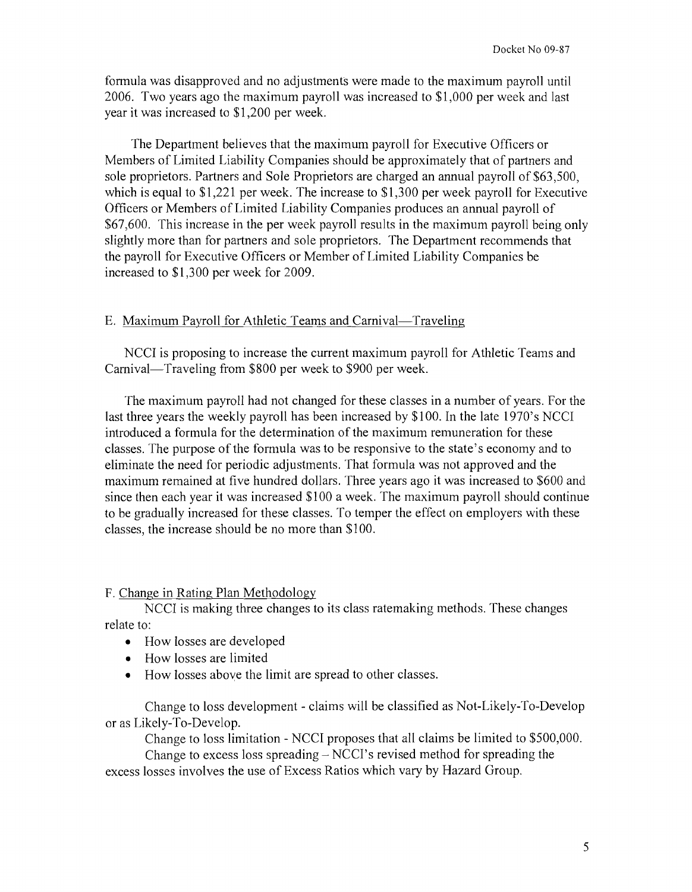formula was disapproved and no adjustments were made to the maximum payroll until 2006. Two years ago the maximum payroll was increased to \$1,000 per week and last year it was increased to \$1,200 per week.

The Department believes that the maximum payroll for Executive Officers or Members of Limited Liability Companies should be approximately that of partners and sole proprietors. Partners and Sole Proprietors are charged an annual payroll of \$63,500, which is equal to \$1,221 per week. The increase to \$1,300 per week payroll for Executive Officers or Members of Limited Liability Companies produces an annual payroll of \$67,600. This increase in the per week payroll results in the maximum payroll being only slightly more than for partners and sole proprietors. The Department recommends that the payroll for Executive Officers or Member of Limited Liability Companies be increased to \$1,300 per week for 2009.

## E. Maximum Payroll for Athletic Teams and Carnival-Traveling

NCCI is proposing to increase the current maximum payroll for Athletic Teams and Carnival—Traveling from \$800 per week to \$900 per week.

The maximum payroll had not changed for these classes in a number of years. For the last three years the weekly payroll has been increased by \$100. In the late 1970's NCCI introduced a formula for the determination of the maximum remuneration for these classes. The purpose of the formula was to be responsive to the state's economy and to eliminate the need for periodic adjustments. That formula was not approved and the maximum remained at five hundred dollars. Three years ago it was increased to \$600 and since then each year it was increased \$100 a week. The maximum payroll should continue to be gradually increased for these classes. To temper the effect on employers with these classes, the increase should be no more than \$100.

## F. Change in Rating Plan Methodology

NCCI is making three changes to its class ratemaking methods. These changes relate to:

- How losses are developed
- How losses are limited
- How losses above the limit are spread to other classes.

Change to loss development - claims will be classified as Not-Likely-To-Develop or as Likely-To-Develop.

Change to loss limitation - NCCI proposes that all claims be limited to \$500,000. Change to excess loss spreading  $-$  NCCI's revised method for spreading the

excess losses involves the use of Excess Ratios which vary by Hazard Group.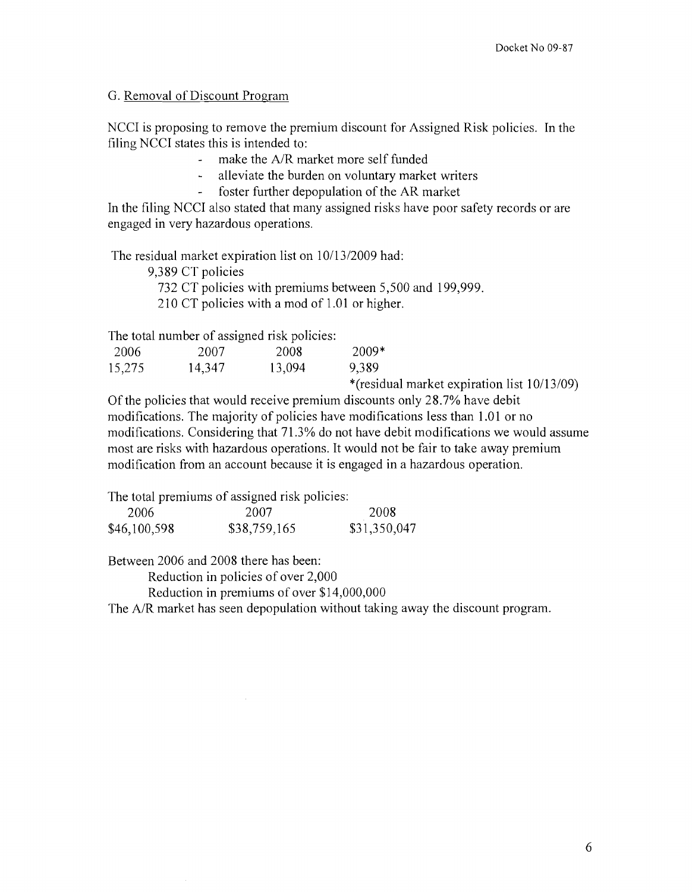## G. Removal of Discount Program

NCCI is proposing to remove the premium discount for Assigned Risk policies. In the filing NCCI states this is intended to:

- make the A/R market more self funded  $\Delta \sim 1$
- alleviate the burden on voluntary market writers
- foster further depopulation of the AR market

In the filing NCCI also stated that many assigned risks have poor safety records or are engaged in very hazardous operations.

The residual market expiration list on 10/13/2009 had:

9,389 CT policies

732 CT policies with premiums between 5,500 and 199,999.

210 CT policies with a mod of 1.01 or higher.

The total number of assigned risk policies:

| 2006   | 2007   | 2008   | 2009*                                              |  |
|--------|--------|--------|----------------------------------------------------|--|
| 15,275 | 14,347 | 13,094 | 9,389                                              |  |
|        |        |        | $*(r_{\alpha} \cdot d_{\alpha})$ market evolvation |  |

\*(residual market expiration list 10/13/09)

Of the policies that would receive premium discounts only 28.7% have debit modifications. The majority of policies have modifications less than 1.01 or no modifications. Considering that 71.3% do not have debit modifications we would assume most are risks with hazardous operations. It would not be fair to take away premium modification from an account because it is engaged in a hazardous operation.

The total premiums of assigned risk policies:

| 2006         | 2007         | 2008         |
|--------------|--------------|--------------|
| \$46,100,598 | \$38,759,165 | \$31,350,047 |

Between 2006 and 2008 there has been:

Reduction in policies of over 2,000

Reduction in premiums of over \$14,000,000

The A/R market has seen depopulation without taking away the discount program.